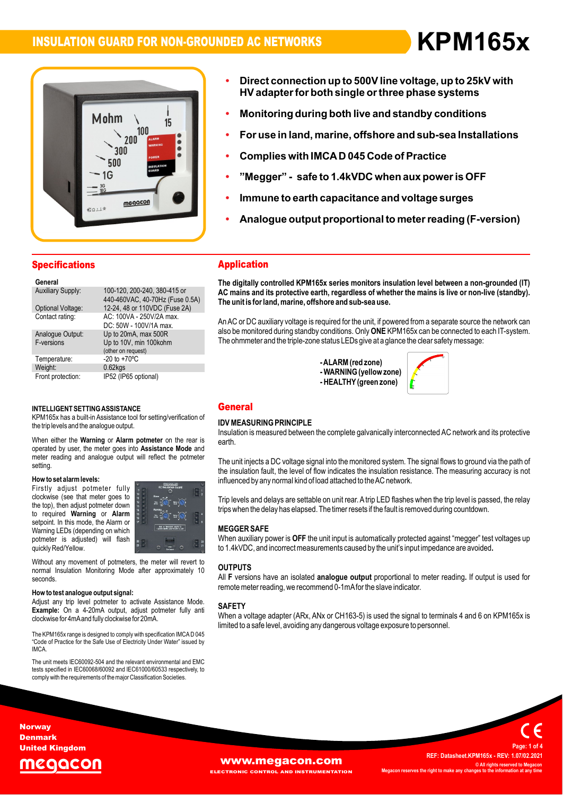**ï**

**Direct**



- **connection up to 500Vline voltage, up to 25kV with ïbirect connection up to 500V line voltage, up to 25kV with<br>HV adapter for both single or three phase systems** ection up to 500 v line voltage, up to 25N v with<br>for both single or three phase systems<br>during both live and standby conditions
- Monitoring during both live and standby **c**<br>For use in land. marine. offshore and sub-
- **use in land,marine and sub-sea Installations Complies with IMCAD <sup>045</sup> Code of Practice ï**
- **Complies**
- **Immune to earth capacitance and voltage surges - safe to 1.4kVDC when aux poweris OFF**
- **Analogue output proportional to meterreading (F-version)**
- Analogue output proportional to meter reading (F-version)

### **Specifications Generally Expecification**

| General                        |                                                                      |
|--------------------------------|----------------------------------------------------------------------|
| <b>Auxiliary Supply:</b>       | 100-120, 200-240, 380-415 or<br>440-460VAC, 40-70Hz (Fuse 0.5A)      |
| Optional Voltage:              | 12-24, 48 or 110VDC (Fuse 2A)                                        |
| Contact rating:                | AC: 100VA - 250V/2A max.<br>DC: 50W - 100V/1A max.                   |
| Analogue Output:<br>F-versions | Up to 20mA, max 500R<br>Up to 10V, min 100kohm<br>(other on request) |
| Temperature:                   | $-20$ to $+70^{\circ}$ C                                             |
| Weight:                        | $0.62$ <sub>kgs</sub>                                                |
| Front protection:              | IP52 (IP65 optional)                                                 |

### INTELLIGENT SETTING ASSISTANCE

the trip levels and the analogue output. **output.<br>Alarm potmeter** on th INTELLIGENT SETTING ASSISTANCE<br>KPM165x has a built-in Assistance tool for setting/verification of **IDENT**<br>the trip levels and the analogue output. e the trip levels and the analogue output.<br>Ins<br>גרם When either the **Warning** or **Alarm potmeter** on the rear is

the rear is<br>**Mode** and Insu<br>When either the **Warning** or **Alarm potmeter** on the rear is<br>operated by user, the meter goes into Assistance Mode and operated by user, the meter goes into **Assistance Mode** and meter reading and analogue output will reflect the potmeter setting setting.<br>**How to set alarm levels:** 

### now to se

**EXECUTE:** THE MILD CONSIDERT AND THE MILD CONSIDER THE MILD CONSIDER A MILD CONSIDER A MILD CONSIDER A MILD CON<br>The top), then adjust potmeter down **Alarm** and intervention of the matched warning or **Alarm How to set alarm levels:**<br>Firstly adjust potmeter fully **in the set of the set of the set of the set of the set of the set of the set of**<br>clockwise (see that meter ooes to "i" is " Prockwise (see that meter goes to<br>the top), then adjust potmeter down<br>to required **Warning** or **Alarm**<br>setpoint. In this mode, the Alarm or<br>Warning LEDs (depending on which vvarning LEDS (dependin<br>potmeter is adjusted)<br>quickly Red/Yellow. to required Warning or Alarm setpoint. In this mode, the Alarm or selpoint. In this mode, the Alamn of<br>Warning LEDs (depending on which<br>potmeter is adjusted) will flash a



quickly Red/Yellow.<br>
Without any movement of potmeters, the meter will revert to<br>
normal Insulation Monitoring Mode after approximately 10 OU\* seconds

clockwise for 4mA and fully clockwise for 20mA. **the weight of the signal: help weight of the signal:** Adjust any trip level potmeter to activate Assistance Mode. **How to test analogue output signal:**<br>Adjust any trip level potmeter to activate Assistance Mode.<br>**Example:** On a 4-20mA output, adjust potmeter fully anti y trip lever potmeter to activate A<br>On a 4-20mA output, adjust po<br>for 4mAand fully clockwise for 20mA.

lim<br>The KPM165x range is designed to comply with specification IMCAD 045<br>Code of Practice for the Safe Use of Electricity Under Water" issued by" **IMCA** 

IMCA.<br>The unit meets IEC60092-504 and the relevant environmental and EMC<br>tests specified in IEC60068/60092 and IEC61000/60533 respectively, to tests specified in IEC60068/60092 and IEC61000/60533 respectively, to comply with the requirements of the major Classification Societies.

### **Application**

 **digitally controlled KPM165x series monitors insulation level between <sup>a</sup> non-grounded (IT) AC**The digitally controlled KPM165x series monitors insulation level between a non-grounded (IT)<br>AC mains and its protective earth, regardless of whether the mains is live or non-live (standby). alghany controlled KPM 199x series monitors insulated,<br>mains and its protective earth, regardless of whether<br>unit is for land. marine. offshore and sub-sea use. The unit is for land, marine, offshore and sub-sea use.

The unit is for land, marine, offshore and sub-sea use.<br>An AC or DC auxiliary voltage is required for the unit, if powered from a separate source the network can<br>also be monitored during standby conditions. Only **ONE** KPM1 of or DC auxiliary voltage is required for the unit, if powered from a separate source the ne<br>be monitored during standby conditions. Only **ONE** KPM165x can be connected to each<br>ohmmeter and the triple-zone status LEDs giv

**zone**<br>- ALARM (red zone) - ALARM (red zone)<br>- WARNING (yellow zone)<br>- HEALTHY (green zone) -ALARM (red zone)



### **General**

### $\sum_{i=1}^{n}$ ida in

Insulation is measured between the complete galvanically interconnected AC network and its protective earth.

eartn.<br>The unit injects a DC voltage signal into the monitored system. The signal flows to ground via the path of<br>the insulation fault. the level of flow indicates the insulation resistance. The measuring accuracy is not the insulation fault, the level of flow indicates the insulation resistance. The measuring accuracy is not influenced by any normal kind of load attached to the AC network.

trips when the delay has elapsed. The timer resets if the fault is removed during countdown. inhuenced by any normal kind of load attached to the AC network.<br>Trip levels and delays are settable on unit rear. A trip LED flashes when the trip level is passed, the relay<br>trips when the delay has elapsed. The timer res

### **MEGGER SAFE**

**MEGGER SAFE**<br>When auxiliary power is **OFF** the unit input is automatically protected against "megger" test voltages up<br>to 1.4kVDC, and incorrect measurements caused by the unit's input impedance are avoided. to 1.4kVDC, and incorrect measurements caused by the unit's input impedance are avoided.

## **F**All

**OUTPUTS**<br>All F versions have an isolated **analogue output** proportional to meter reading. If output is used for<br>remote meter reading, we recommend 0-1mAfor the slave indicator.

### $\sim$ SAFE<br>''

 <sup>a</sup> voltage adapter (ARx, ANx or CH163-5) is used the signal to terminals <sup>4</sup> and <sup>6</sup> on KPM165x is remote meter reading, we recommend o- mixtor the slave indicator.<br>**SAFETY**<br>When a voltage adapter (ARx, ANx or CH163-5) is used the signal to terminals 4<br>limited to a safe level, avoiding any dangerous voltage exposure to

### **Norway** Denmark United Kingdom

# eaacon



 **Datasheet.KPM165x - REV: 1.07/02.2021 © All rights reserved to Megacon MegaconC** All rights reserved to Me **<sup>1</sup> of <sup>4</sup>**

**Page:**

**REF:**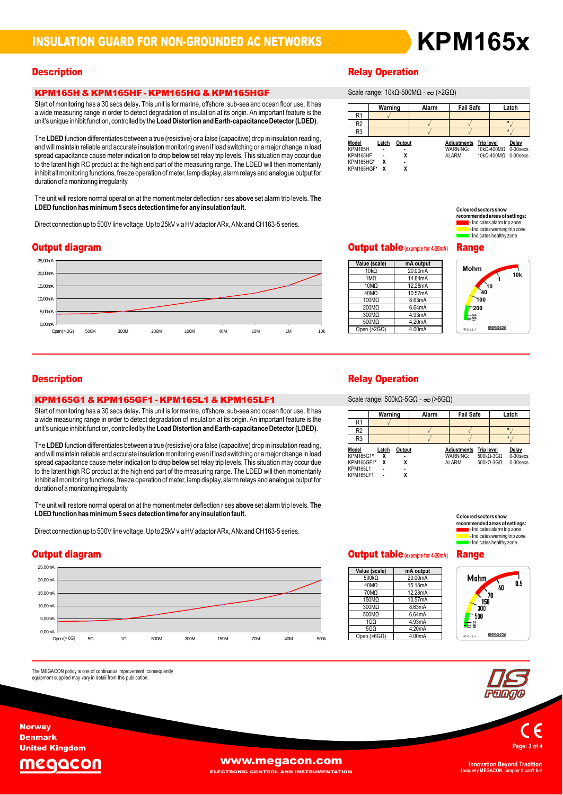### KPM165H & KPM165HF - KPM165HG & KPM165HGF Start**.**KPM165H & KPM165HF - KPM165HG & KPM165HG & KWASHEF<br>Start of monitoring has a 30 secs delay. This unit is for marine, offshore, sub-sea and ocean floor use. It has

exact to the section of the section of the total of the section of the section of the section of insulation at<br>a wide measuring range in order to detect degradation of insulation at its origin. An important feature is the Start of monitoring has a 50 secs delay. This unit is for manne, onshore, sub-sea and ocean noor use. It has<br>a wide measuring range in order to detect degradation of insulation at its origin. An important feature is the<br>un a wide measuring range in order to detect degradation of insulation at its origin. An important feature is the

unit s'unique innibit iunction, controlleu by the Load Distortion and Earth-capacitance Detector (LDED).<br>The LDED function differentiates between a true (resistive) or a false (capacitive) drop in insulation reading. The **LDED** function differentiates between a true (resistive) or a false (capacitive) drop in insulation reading,<br>and will maintain reliable and accurate insulation monitoring even if load switching or a maior change in lo The **LDLD** function differentiates between a true (resistive) or a faise (capacitive) drop in insulation reading,<br>and will maintain reliable and accurate insulation monitoring even if load switching or a major change in lo and will mailitail reliable and accurate insulation monitoring even in load switching or a major change in load<br>spread capacitance cause meter indication to drop **below** set relay trip levels. This situation may occur due<br> spread capacitance cause meter indication to drop **below** set relay trip levels. This situation may occur due<br>to the latent high RC product at the high end part of the measuring range. The LDED will then momentarily<br>inhibi inhibit all monitoring functions, freeze operation of meter, lamp display, alarm relays and analogue output for<br>duration of a monitoring irregularity.

auration or a monitoring irregularity.<br>The unit will restore normal operation at the moment meter deflection rises **above** set alarm trip levels. **The** LDED function has minimum 5 secs detection time for any insulation fault. **hasminimum5 secs detection time for any insulation fault.**

Direct connection up to 500V line voltage. Up to 25kV via HV adaptor ARx, ANx and CH163-5 series.



# KPM165G1 & KPM165GF1 - KPM165L1 & KPM165LF1 Start ofmonitoring has <sup>a</sup> <sup>30</sup> secs delay This unit is for marine, offshore, sub-sea and ocean floor use. It has <sup>a</sup>**.**

with the second of the second to detect the second to detect the second to detect the second floor use. It has<br>a wide measuring range in order to detect degradation of insulation at its origin. An important feature is the Start of monitoring has a 50 secs delay. This unit is for manne, offshore, sub-sea and ocean hoor use. It has<br>a wide measuring range in order to detect degradation of insulation at its origin. An important feature is the<br>u unit's unique inhibit function, controlled by the Load Distortion and Earth-capacitance Detector (LDED).

The LDED function differentiates between a true (resistive) or a false (capacitive) drop in insulation reading, The LDED function differentiates between a true (resistive) or a false (capacitive) drop in insulation reading,<br>and will maintain reliable and accurate insulation monitoring even if load switching or a major change in load and will mailmail i reliable and accurate insulation monitoring even if ioad switching or a major change in load<br>spread capacitance cause meter indication to drop **below** set relay trip levels. This situation may occur due to the latent high RC product at the high end part of the measuring range. The LDED will then momentarily inhibit all monitoring functions, freeze operation of meter, lamp display, alarm relays and analogue output for<br>duration of a monitoring irregularity.

uurauon or a monitoning in egulanty.<br>The unit will restore normal operation at the moment meter deflection rises **above** set alarm trip levels. **The** LDED function has minimum 5 secs detection time for any insulation fault. **hasminimum5 secs detection time for any insulation fault.**

Direct connection up to 500V line voltage. Up to 25kV via HV adaptor ARx, ANx and CH163-5 series.

### Output diagram



The MEGACON policy is one of continuous improvement, consequently<br>equipment supplied may vary in detail from this publication.

# **Description**<br>Scale of the Contract of Contract of the Contract of the Relay Operation

**Warning** range: 10kΩ-500MΩ - ∞ (>2GΩ)

|                       | Warning |        | Alarm | <b>Fail Safe</b>               |                   | Latch                                       |
|-----------------------|---------|--------|-------|--------------------------------|-------------------|---------------------------------------------|
| R <sub>1</sub>        |         |        |       |                                |                   |                                             |
| R <sub>2</sub>        |         |        |       |                                |                   |                                             |
| R <sub>3</sub>        |         |        |       |                                |                   |                                             |
| Model<br>KPM165H      | Latch   | Output |       | <b>Adjustments</b><br>WARNING: | <b>Trip level</b> | Delay<br>$10k\Omega - 400M\Omega$ 0-30 secs |
| KPM165HF<br>KPM165HG* | x       |        |       | ALARM:                         |                   | 10kQ-400MQ 0-30 secs                        |
| KPM165HGF*            |         |        |       |                                |                   |                                             |



| Value (scale)      | mA output |
|--------------------|-----------|
| $10k\Omega$        | 20.00mA   |
| 1MQ                | 14.84mA   |
| 10MQ               | 12.28mA   |
| 40MO               | 10.57mA   |
| 100MQ              | 8.63mA    |
| 200MQ              | 6.64mA    |
| 300MQ              | 4.93mA    |
| 500MQ              | 4.20mA    |
| Open $(>2G\Omega)$ | 4.00mA    |

**10kMohm**Range



# **Description**<br>Scale of the Contract of Contract of the Contract of the Relay Operation

**Warning** range: 500kΩ-5GΩ - ∞ (>6GΩ)

|                    |            |        | $O(X) = 200$ $100$ $100$ $100$ $100$ $100$ |                                |                   |                       |                    |
|--------------------|------------|--------|--------------------------------------------|--------------------------------|-------------------|-----------------------|--------------------|
|                    | Warning    |        | Alarm                                      | <b>Fail Safe</b>               |                   |                       | Latch              |
| R <sub>1</sub>     |            |        |                                            |                                |                   |                       |                    |
| R <sub>2</sub>     |            |        |                                            |                                |                   |                       | $\star$            |
| R <sub>3</sub>     |            |        |                                            |                                |                   |                       |                    |
| Model<br>KPM165G1* | Latch<br>χ | Output |                                            | <b>Adiustments</b><br>WARNING: | <b>Trip level</b> | $500k\Omega-3G\Omega$ | Delay<br>0-30 secs |
| KPM165GF1*         | x          | χ      |                                            | ALARM:                         |                   | $500k\Omega-3G\Omega$ | $0-30$ secs        |
| <b>KPM165L1</b>    |            |        |                                            |                                |                   |                       |                    |
| <b>KPM165LF1</b>   |            | χ      |                                            |                                |                   |                       |                    |

**Sectors show areas of settings:<br><b>areas of settings:**<br>s alarm trip zone **-** Indicates alarm trip zon mended areas or settings:<br>- Indicates alarm trip zone<br>- Indicates warning trip zone<br>- Indicates healthy zone

# Output table**(example for4-20mA)** Range

| Value (scale)        | mA output |
|----------------------|-----------|
| 500 $k\Omega$        | 20.00mA   |
| 40MQ                 | 15.18mA   |
| 70MQ                 | 12.28mA   |
| 150MΩ                | 10.57mA   |
| 300MΩ                | 8.63mA    |
| 500MQ                | 6.64mA    |
| 1G <sub>O</sub>      | 4.93mA    |
| 5G <sub>O</sub>      | 4.20mA    |
| Open (>6G $\Omega$ ) | 4.00mA    |

| e | Mohm<br>300<br>500<br><b>SG</b> | 40<br>70<br>150 | 0.5 |  |
|---|---------------------------------|-----------------|-----|--|
|   | $600 + 1%$                      | megacon         |     |  |



**Norway** Denmark United Kingdom

The



**Uniquely MEGACON, simpler it can't be!**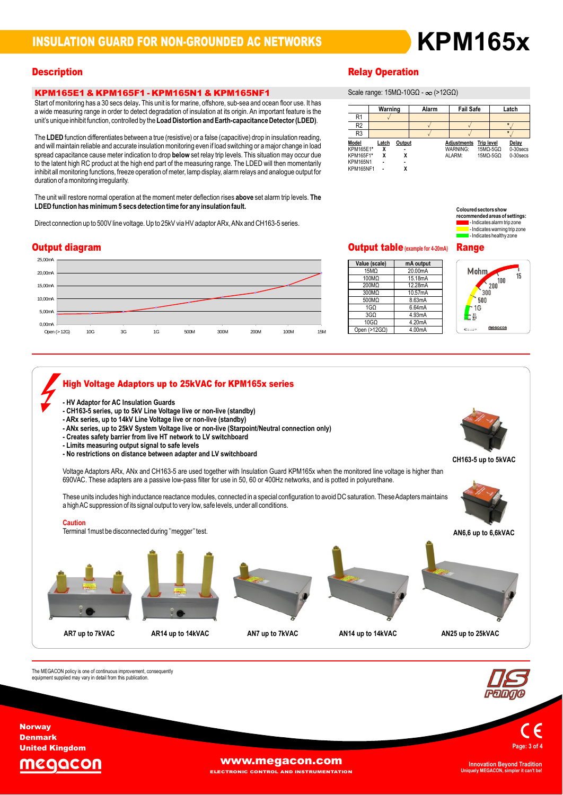# **KPM165x**

### KPM165E1 & KPM165F1 - KPM165N1 & KPM165NF1 Start**.**KPM165E1 & KPM165F1 - KPM165N1 & KPM165NF1<br>Start of monitoring has a 30 secs delay. This unit is for marine, offshore, sub-sea and ocean floor use. It has

**EXPTRE FOULE FOR EXPTRE FOULE FOR THE FRIM FOULE TO A THE FOULE FOR THE FOULE FOR THE STATE OF STATE OF STATE**<br>That different measuring range in order to detect degradation of insulation at its origin. An important featur Start of monitoring has a 50 secs delay. This unit is for marrile, offshore, sub-sea and ocean hoor use. It has<br>a wide measuring range in order to detect degradation of insulation at its origin. An important feature is the unit's unique inhibit function, controlled by the Load Distortion and Earth-capacitance Detector (LDED).

unit s'unique innibit iunction, controlleu by the Load Distortion and Earth-capacitance Detector (LDED).<br>The LDED function differentiates between a true (resistive) or a false (capacitive) drop in insulation reading. The **LDED** function differentiates between a true (resistive) or a false (capacitive) drop in insulation reading,<br>and will maintain reliable and accurate insulation monitoring even if load switching or a maior change in lo The **LDLD** function differentiates between a true (resistive) or a faise (capacitive) drop in insulation reading,<br>and will maintain reliable and accurate insulation monitoring even if load switching or a major change in lo and will mailmail i reliable and accurate insulation monitoring even if ioad switching or a major change in load<br>spread capacitance cause meter indication to drop **below** set relay trip levels. This situation may occur due to the latent high RC product at the high end part of the measuring range. The LDED will then momentarily inhibit all monitoring functions, freeze operation of meter, lamp display, alarm relays and analogue output for<br>duration of a monitoring irregularity.

auration or a monitoring irregularity.<br>The unit will restore normal operation at the moment meter deflection rises **above** set alarm trip levels. **The** LDED function has minimum 5 secs detection time for any insulation fault. **hasminimum5 secs detection time for any insulation fault.**

Direct connection up to 500V line voltage. Up to 25kV via HV adaptor ARx, ANx and CH163-5 series.

### Output diagram



# **Description**<br>Scale of the Contract of Contract of the Contract of the Relay Operation

**Warning** range: 15MΩ-10GΩ - ∞ (>12GΩ)

|                  | Warning |        | Alarm | <b>Fail Safe</b>   |                        | Latch       |
|------------------|---------|--------|-------|--------------------|------------------------|-------------|
| R <sub>1</sub>   |         |        |       |                    |                        |             |
| R <sub>2</sub>   |         |        |       |                    |                        | $\star$     |
| R <sub>3</sub>   |         |        |       |                    |                        | ٠           |
| Model            | Latch   | Output |       | <b>Adjustments</b> | <b>Trip level</b>      | Delay       |
| KPM165E1*        |         |        |       | WARNING:           | $15M\Omega - 5G\Omega$ | 0-30 secs   |
| KPM165F1*        | χ       |        |       | ALARM:             | $15M\Omega - 5G\Omega$ | $0-30$ secs |
| <b>KPM165N1</b>  |         |        |       |                    |                        |             |
| <b>KPM165NF1</b> |         |        |       |                    |                        |             |



# Output table**(example for4-20mA)** Range

| <b>State of the second to result of the second second to the second second second second second second second second second second second second second second second second second second second second second second second s</b> |           |  |  |  |  |  |
|-------------------------------------------------------------------------------------------------------------------------------------------------------------------------------------------------------------------------------------|-----------|--|--|--|--|--|
| Value (scale)                                                                                                                                                                                                                       | mA output |  |  |  |  |  |
| 15MQ                                                                                                                                                                                                                                | 20.00mA   |  |  |  |  |  |
| 100MΩ                                                                                                                                                                                                                               | 15.18mA   |  |  |  |  |  |
| 200MQ                                                                                                                                                                                                                               | 12.28mA   |  |  |  |  |  |
| 300MΩ                                                                                                                                                                                                                               | 10.57mA   |  |  |  |  |  |
| 500MQ                                                                                                                                                                                                                               | 8.63mA    |  |  |  |  |  |
| 1G <sub>0</sub>                                                                                                                                                                                                                     | 6.64mA    |  |  |  |  |  |
| 3G <sub>O</sub>                                                                                                                                                                                                                     | 4.93mA    |  |  |  |  |  |
| $10G\Omega$                                                                                                                                                                                                                         | 4.20mA    |  |  |  |  |  |
| Open $(>12G\Omega)$                                                                                                                                                                                                                 | 4.00mA    |  |  |  |  |  |

Mohm 15  $100$  $\frac{1}{200}$  $300$ 500 1G

menacon

 $\equiv \frac{36}{30}$ 

### **AR14 up to 14kVAC AN14 up to 14kVAC AN25 up to 25kVAC** The**High Voltage Adaptors up to 25kVAC for KPM165x series -AR7 up to 7kVAC AN7 up to 7kVAC High voltage Adaptors up to Zokv**<br>- HV Adaptor for AC Insulation Guards - ARx series, up to 14kV Line Voltage live or non-live (standby) - CHT63-3 Series, up to 5kV Line voltage live or non-live (standby)<br>- ARx series, up to 14kV Line Voltage live or non-live (standby)<br>- ARx series, up to 25kV System Voltage live or non-live (Starpoint/Neutral connection on - Anx series, up to zokv System voltage live or non-live<br>- Creates safety barrier from live HT network to LV swit<br>- Limits measuring output signal to safe levels **-** Creates safety barrier from live HT hetwork to LV switchboard<br>- Limits measuring output signal to safe levels<br>- No restrictions on distance between adapter and LV switchboard **CH163-5 series, up to 5kV Line Voltage live or non-live (standby) -**- Hv Adaptor for AC insulation Guards<br>- CH163-5 series, up to 5kV Line Voltage live or non-live (standby)<br>- ARx series. up to 14kV Line Voltage live or non-live (standby) 690VAC. These adapters are a passive low-pass filter for use in 50, 60 or 400Hz networks, and is potted in polyurethane. osovAC. These adapters are a passive low-pass lilter for use in 50, 60 or 400Hz networks, and is potted in polyuretriane.<br>These units includes high inductance reactance modules, connected in a special configuration to avoi hese units includes high inductance reactance modules, connected in a special configur.<br>high AC suppression of its signal output to very low, safe levels, under all conditions. Caution Terminal 1must be disconnected during "megger" test. - No restrictions on distance between adapter and LV switchboard<br>Voltage Adaptors ARx, ANx and CH163-5 are used together with Insulation Guard KPM165x when the monitored line voltage is higher than<br>690VAC. These adapters a C. These adapters are a passive low-pass lilter for use in 50, 60 or 400Hz networks, and is potted in polyuretriane.<br>units includes high inductance reactance modules, connected in a special configuration to avoid DC satur a high AC suppression of its signal output to very low, safe levels, under all conditions. **up to 6,6kVAC CH163-5up to 5kVAC**

The MEGACON policy is one of continuous improvement, consequently<br>equipment supplied may vary in detail from this publication.





**Norway** Denmark United Kingdom



ELECTRONIC CONTROL AND INSTRUMENTATION

**Uniquely MEGACON, simpler it can't be!**